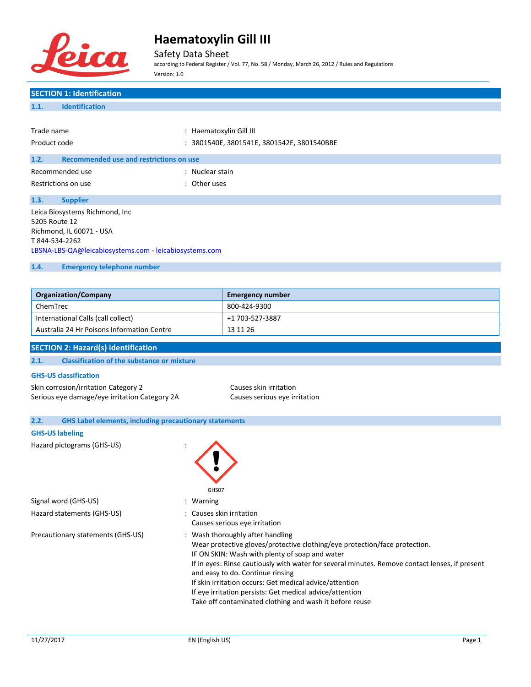

Safety Data Sheet

according to Federal Register / Vol. 77, No. 58 / Monday, March 26, 2012 / Rules and Regulations Version: 1.0

# **SECTION 1: Identification 1.1. Identification** Trade name  $\qquad \qquad :$  Haematoxylin Gill III Product code : 3801540E, 3801541E, 3801542E, 3801540BBE **1.2. Recommended use and restrictions on use** Recommended use in the set of the state of the Recommended use Restrictions on use the set of the set of the set of the set of the set of the set of the set of the set of the set of the set of the set of the set of the set of the set of the set of the set of the set of the set of the **1.3. Supplier** Leica Biosystems Richmond, Inc 5205 Route 12 Richmond, IL 60071 - USA T 844-534-2262 [LBSNA-LBS-QA@leicabiosystems.com](mailto:LBSNA-LBS-QA@leicabiosystems.com) - <leicabiosystems.com> **1.4. Emergency telephone number**

| <b>Organization/Company</b>                | <b>Emergency number</b> |
|--------------------------------------------|-------------------------|
| ChemTrec                                   | 800-424-9300            |
| International Calls (call collect)         | +1 703-527-3887         |
| Australia 24 Hr Poisons Information Centre | 13 11 26                |

#### **SECTION 2: Hazard(s) identification**

#### **2.1. Classification of the substance or mixture**

#### **GHS-US classification**

Skin corrosion/irritation Category 2 Causes skin irritation Serious eye damage/eye irritation Category 2A Causes serious eye irritation

| 2.2. | <b>GHS Label elements, including precautionary statements</b> |                                                                                                                                                                                                                                                                                                                                                                                                                                                                                          |
|------|---------------------------------------------------------------|------------------------------------------------------------------------------------------------------------------------------------------------------------------------------------------------------------------------------------------------------------------------------------------------------------------------------------------------------------------------------------------------------------------------------------------------------------------------------------------|
|      | <b>GHS-US labeling</b>                                        |                                                                                                                                                                                                                                                                                                                                                                                                                                                                                          |
|      | Hazard pictograms (GHS-US)                                    | GHS07                                                                                                                                                                                                                                                                                                                                                                                                                                                                                    |
|      | Signal word (GHS-US)                                          | : Warning                                                                                                                                                                                                                                                                                                                                                                                                                                                                                |
|      | Hazard statements (GHS-US)                                    | : Causes skin irritation<br>Causes serious eye irritation                                                                                                                                                                                                                                                                                                                                                                                                                                |
|      | Precautionary statements (GHS-US)                             | : Wash thoroughly after handling<br>Wear protective gloves/protective clothing/eye protection/face protection.<br>IF ON SKIN: Wash with plenty of soap and water<br>If in eyes: Rinse cautiously with water for several minutes. Remove contact lenses, if present<br>and easy to do. Continue rinsing<br>If skin irritation occurs: Get medical advice/attention<br>If eye irritation persists: Get medical advice/attention<br>Take off contaminated clothing and wash it before reuse |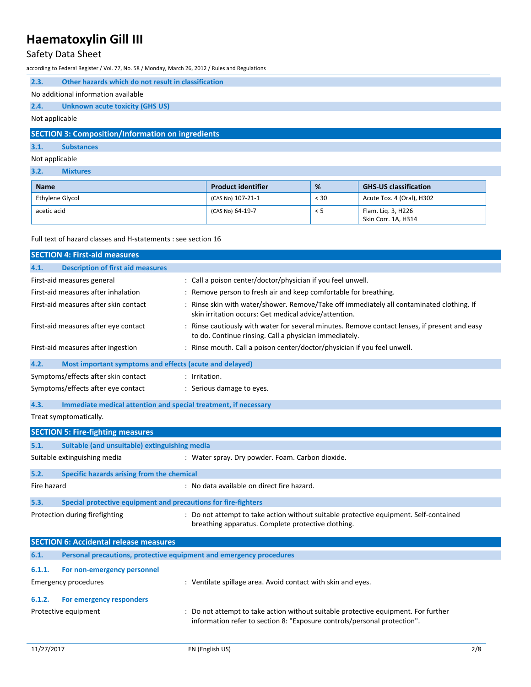### Safety Data Sheet

according to Federal Register / Vol. 77, No. 58 / Monday, March 26, 2012 / Rules and Regulations

| 2.3.                                                     | Other hazards which do not result in classification |  |  |
|----------------------------------------------------------|-----------------------------------------------------|--|--|
|                                                          | No additional information available                 |  |  |
| 2.4.                                                     | Unknown acute toxicity (GHS US)                     |  |  |
| Not applicable                                           |                                                     |  |  |
| <b>SECTION 3: Composition/Information on ingredients</b> |                                                     |  |  |

# **3.1. Substances**

Not applicable **3.2. Mixtures**

| <b>Name</b>     | <b>Product identifier</b> | %        | <b>GHS-US classification</b>              |
|-----------------|---------------------------|----------|-------------------------------------------|
| Ethylene Glycol | (CAS No) 107-21-1         | $<$ 30   | Acute Tox. 4 (Oral), H302                 |
| acetic acid     | (CAS No) 64-19-7          | $\leq$ 5 | Flam. Lig. 3, H226<br>Skin Corr. 1A, H314 |

Full text of hazard classes and H-statements : see section 16

|             | <b>SECTION 4: First-aid measures</b>                                |                                                                                                                                                                |
|-------------|---------------------------------------------------------------------|----------------------------------------------------------------------------------------------------------------------------------------------------------------|
| 4.1.        | <b>Description of first aid measures</b>                            |                                                                                                                                                                |
|             | First-aid measures general                                          | : Call a poison center/doctor/physician if you feel unwell.                                                                                                    |
|             | First-aid measures after inhalation                                 | : Remove person to fresh air and keep comfortable for breathing.                                                                                               |
|             | First-aid measures after skin contact                               | : Rinse skin with water/shower. Remove/Take off immediately all contaminated clothing. If<br>skin irritation occurs: Get medical advice/attention.             |
|             | First-aid measures after eye contact                                | : Rinse cautiously with water for several minutes. Remove contact lenses, if present and easy<br>to do. Continue rinsing. Call a physician immediately.        |
|             | First-aid measures after ingestion                                  | : Rinse mouth. Call a poison center/doctor/physician if you feel unwell.                                                                                       |
| 4.2.        | Most important symptoms and effects (acute and delayed)             |                                                                                                                                                                |
|             | Symptoms/effects after skin contact                                 | : Irritation.                                                                                                                                                  |
|             | Symptoms/effects after eye contact                                  | : Serious damage to eyes.                                                                                                                                      |
| 4.3.        | Immediate medical attention and special treatment, if necessary     |                                                                                                                                                                |
|             | Treat symptomatically.                                              |                                                                                                                                                                |
|             | <b>SECTION 5: Fire-fighting measures</b>                            |                                                                                                                                                                |
| 5.1.        | Suitable (and unsuitable) extinguishing media                       |                                                                                                                                                                |
|             | Suitable extinguishing media                                        | : Water spray. Dry powder. Foam. Carbon dioxide.                                                                                                               |
| 5.2.        | Specific hazards arising from the chemical                          |                                                                                                                                                                |
| Fire hazard |                                                                     | : No data available on direct fire hazard.                                                                                                                     |
| 5.3.        | Special protective equipment and precautions for fire-fighters      |                                                                                                                                                                |
|             | Protection during firefighting                                      | : Do not attempt to take action without suitable protective equipment. Self-contained<br>breathing apparatus. Complete protective clothing.                    |
|             | <b>SECTION 6: Accidental release measures</b>                       |                                                                                                                                                                |
| 6.1.        | Personal precautions, protective equipment and emergency procedures |                                                                                                                                                                |
| 6.1.1.      | For non-emergency personnel                                         |                                                                                                                                                                |
|             | <b>Emergency procedures</b>                                         | : Ventilate spillage area. Avoid contact with skin and eyes.                                                                                                   |
| 6.1.2.      | For emergency responders                                            |                                                                                                                                                                |
|             | Protective equipment                                                | : Do not attempt to take action without suitable protective equipment. For further<br>information refer to section 8: "Exposure controls/personal protection". |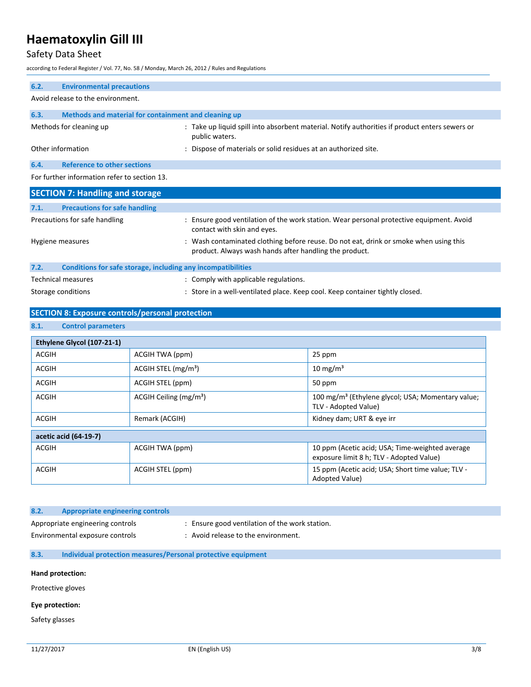### Safety Data Sheet

according to Federal Register / Vol. 77, No. 58 / Monday, March 26, 2012 / Rules and Regulations

| 6.2. | <b>Environmental precautions</b>                             |                                                                                                                                                 |
|------|--------------------------------------------------------------|-------------------------------------------------------------------------------------------------------------------------------------------------|
|      | Avoid release to the environment.                            |                                                                                                                                                 |
| 6.3. | Methods and material for containment and cleaning up         |                                                                                                                                                 |
|      | Methods for cleaning up                                      | : Take up liquid spill into absorbent material. Notify authorities if product enters sewers or<br>public waters.                                |
|      | Other information                                            | : Dispose of materials or solid residues at an authorized site.                                                                                 |
| 6.4. | <b>Reference to other sections</b>                           |                                                                                                                                                 |
|      | For further information refer to section 13.                 |                                                                                                                                                 |
|      | <b>SECTION 7: Handling and storage</b>                       |                                                                                                                                                 |
| 7.1. | <b>Precautions for safe handling</b>                         |                                                                                                                                                 |
|      | Precautions for safe handling                                | : Ensure good ventilation of the work station. Wear personal protective equipment. Avoid<br>contact with skin and eyes.                         |
|      | Hygiene measures                                             | : Wash contaminated clothing before reuse. Do not eat, drink or smoke when using this<br>product. Always wash hands after handling the product. |
| 7.2. | Conditions for safe storage, including any incompatibilities |                                                                                                                                                 |
|      | <b>Technical measures</b>                                    | : Comply with applicable regulations.                                                                                                           |
|      | Storage conditions                                           | : Store in a well-ventilated place. Keep cool. Keep container tightly closed.                                                                   |

### **SECTION 8: Exposure controls/personal protection**

**8.1. Control parameters**

| Ethylene Glycol (107-21-1) |                                   |                                                                                             |
|----------------------------|-----------------------------------|---------------------------------------------------------------------------------------------|
| <b>ACGIH</b>               | ACGIH TWA (ppm)                   | 25 ppm                                                                                      |
| <b>ACGIH</b>               | $ACGIH$ STEL (mg/m <sup>3</sup> ) | $10 \text{ mg/m}^3$                                                                         |
| <b>ACGIH</b>               | ACGIH STEL (ppm)                  | 50 ppm                                                                                      |
| <b>ACGIH</b>               | ACGIH Ceiling $(mg/m3)$           | 100 mg/m <sup>3</sup> (Ethylene glycol; USA; Momentary value;<br>TLV - Adopted Value)       |
| <b>ACGIH</b>               | Remark (ACGIH)                    | Kidney dam; URT & eye irr                                                                   |
| acetic acid (64-19-7)      |                                   |                                                                                             |
| <b>ACGIH</b>               | ACGIH TWA (ppm)                   | 10 ppm (Acetic acid; USA; Time-weighted average<br>exposure limit 8 h; TLV - Adopted Value) |
| <b>ACGIH</b>               | ACGIH STEL (ppm)                  | 15 ppm (Acetic acid; USA; Short time value; TLV -<br>Adopted Value)                         |

| 8.2. | Appropriate engineering controls |                                                |
|------|----------------------------------|------------------------------------------------|
|      | Appropriate engineering controls | : Ensure good ventilation of the work station. |
|      | Environmental exposure controls  | Avoid release to the environment.              |

#### **8.3. Individual protection measures/Personal protective equipment**

#### **Hand protection:**

Protective gloves

#### **Eye protection:**

Safety glasses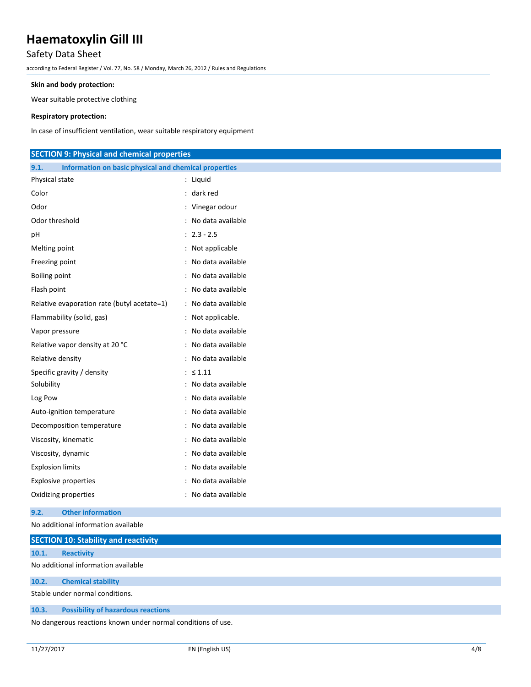### Safety Data Sheet

according to Federal Register / Vol. 77, No. 58 / Monday, March 26, 2012 / Rules and Regulations

#### **Skin and body protection:**

Wear suitable protective clothing

#### **Respiratory protection:**

In case of insufficient ventilation, wear suitable respiratory equipment

| <b>SECTION 9: Physical and chemical properties</b>            |                     |  |
|---------------------------------------------------------------|---------------------|--|
| Information on basic physical and chemical properties<br>9.1. |                     |  |
| Physical state                                                | : Liquid            |  |
| Color                                                         | $:$ dark red        |  |
| Odor                                                          | : Vinegar odour     |  |
| Odor threshold                                                | : No data available |  |
| pH                                                            | $: 2.3 - 2.5$       |  |
| Melting point                                                 | : Not applicable    |  |
| Freezing point                                                | : No data available |  |
| <b>Boiling point</b>                                          | : No data available |  |
| Flash point                                                   | : No data available |  |
| Relative evaporation rate (butyl acetate=1)                   | : No data available |  |
| Flammability (solid, gas)                                     | : Not applicable.   |  |
| Vapor pressure                                                | : No data available |  |
| Relative vapor density at 20 °C                               | : No data available |  |
| Relative density                                              | : No data available |  |
| Specific gravity / density                                    | : $\leq 1.11$       |  |
| Solubility                                                    | : No data available |  |
| Log Pow                                                       | : No data available |  |
| Auto-ignition temperature                                     | : No data available |  |
| Decomposition temperature                                     | : No data available |  |
| Viscosity, kinematic                                          | : No data available |  |
| Viscosity, dynamic                                            | : No data available |  |
| <b>Explosion limits</b>                                       | : No data available |  |
| <b>Explosive properties</b>                                   | : No data available |  |
| Oxidizing properties                                          | : No data available |  |
| <b>Other information</b><br>9.2.                              |                     |  |
| No additional information available                           |                     |  |
| CECTION 40, Chalability, and magazitutes.                     |                     |  |

|       | <b>SECTION 10: Stability and reactivity</b>                  |
|-------|--------------------------------------------------------------|
| 10.1. | Reactivity                                                   |
|       | No additional information available                          |
| 10.2. | <b>Chemical stability</b>                                    |
|       | Stable under normal conditions.                              |
| 10.3. | <b>Possibility of hazardous reactions</b>                    |
|       | No dangerous reactions known under normal conditions of use. |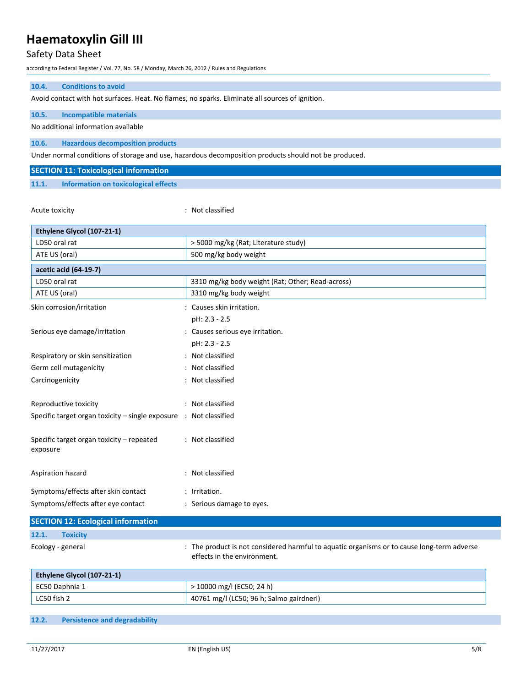# Safety Data Sheet

according to Federal Register / Vol. 77, No. 58 / Monday, March 26, 2012 / Rules and Regulations

| <b>Conditions to avoid</b><br>10.4.                                                             |                                                                                                      |  |
|-------------------------------------------------------------------------------------------------|------------------------------------------------------------------------------------------------------|--|
| Avoid contact with hot surfaces. Heat. No flames, no sparks. Eliminate all sources of ignition. |                                                                                                      |  |
| 10.5.<br><b>Incompatible materials</b>                                                          |                                                                                                      |  |
| No additional information available                                                             |                                                                                                      |  |
| 10.6.<br><b>Hazardous decomposition products</b>                                                |                                                                                                      |  |
|                                                                                                 | Under normal conditions of storage and use, hazardous decomposition products should not be produced. |  |
| <b>SECTION 11: Toxicological information</b>                                                    |                                                                                                      |  |
| 11.1.<br><b>Information on toxicological effects</b>                                            |                                                                                                      |  |
|                                                                                                 |                                                                                                      |  |
| Acute toxicity                                                                                  | : Not classified                                                                                     |  |
|                                                                                                 |                                                                                                      |  |
| Ethylene Glycol (107-21-1)                                                                      |                                                                                                      |  |
| LD50 oral rat                                                                                   | > 5000 mg/kg (Rat; Literature study)                                                                 |  |
| ATE US (oral)                                                                                   | 500 mg/kg body weight                                                                                |  |
| acetic acid (64-19-7)                                                                           |                                                                                                      |  |
| LD50 oral rat                                                                                   | 3310 mg/kg body weight (Rat; Other; Read-across)                                                     |  |
| ATE US (oral)                                                                                   | 3310 mg/kg body weight                                                                               |  |
| Skin corrosion/irritation                                                                       | : Causes skin irritation.                                                                            |  |
|                                                                                                 | pH: 2.3 - 2.5                                                                                        |  |
| Serious eye damage/irritation                                                                   | : Causes serious eye irritation.                                                                     |  |
|                                                                                                 | pH: 2.3 - 2.5                                                                                        |  |
| Respiratory or skin sensitization                                                               | : Not classified                                                                                     |  |
| Germ cell mutagenicity                                                                          | : Not classified                                                                                     |  |
| Carcinogenicity                                                                                 | : Not classified                                                                                     |  |
|                                                                                                 |                                                                                                      |  |
| Reproductive toxicity                                                                           | : Not classified                                                                                     |  |
| Specific target organ toxicity - single exposure : Not classified                               |                                                                                                      |  |
|                                                                                                 |                                                                                                      |  |
| Specific target organ toxicity - repeated                                                       | : Not classified                                                                                     |  |
| exposure                                                                                        |                                                                                                      |  |
|                                                                                                 |                                                                                                      |  |
| Aspiration hazard                                                                               | : Not classified                                                                                     |  |
| Symptoms/effects after skin contact                                                             | : Irritation.                                                                                        |  |
| Symptoms/effects after eye contact                                                              | : Serious damage to eyes.                                                                            |  |
| <b>SECTION 12: Ecological information</b>                                                       |                                                                                                      |  |
| <b>Toxicity</b><br>12.1.                                                                        |                                                                                                      |  |
| Ecology - general                                                                               | : The product is not considered harmful to aquatic organisms or to cause long-term adverse           |  |
|                                                                                                 | effects in the environment.                                                                          |  |
|                                                                                                 |                                                                                                      |  |
| Ethylene Glycol (107-21-1)                                                                      |                                                                                                      |  |
| EC50 Daphnia 1                                                                                  | > 10000 mg/l (EC50; 24 h)                                                                            |  |
| LC50 fish 2                                                                                     | 40761 mg/l (LC50; 96 h; Salmo gairdneri)                                                             |  |

**12.2. Persistence and degradability**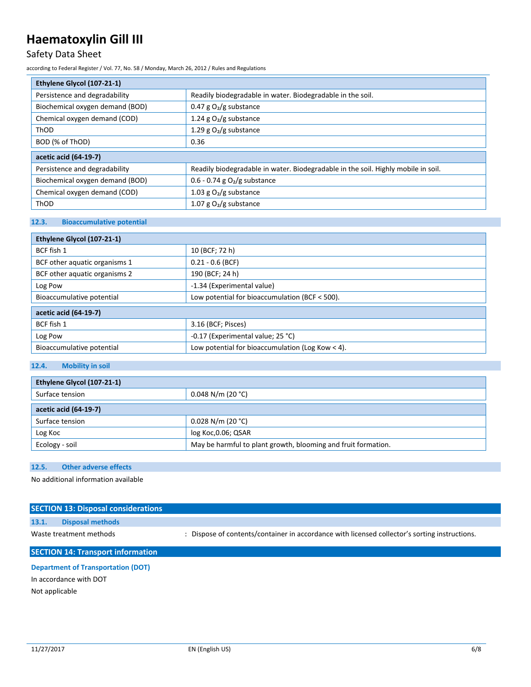### Safety Data Sheet

according to Federal Register / Vol. 77, No. 58 / Monday, March 26, 2012 / Rules and Regulations

| Ethylene Glycol (107-21-1)      |                                                                                   |  |
|---------------------------------|-----------------------------------------------------------------------------------|--|
| Persistence and degradability   | Readily biodegradable in water. Biodegradable in the soil.                        |  |
| Biochemical oxygen demand (BOD) | $0.47$ g O <sub>2</sub> /g substance                                              |  |
| Chemical oxygen demand (COD)    | 1.24 g $O_2/g$ substance                                                          |  |
| ThOD                            | 1.29 g $O_2/g$ substance                                                          |  |
| BOD (% of ThOD)                 | 0.36                                                                              |  |
| acetic acid (64-19-7)           |                                                                                   |  |
| Persistence and degradability   | Readily biodegradable in water. Biodegradable in the soil. Highly mobile in soil. |  |
| Biochemical oxygen demand (BOD) | 0.6 - 0.74 g $O_2/g$ substance                                                    |  |
| Chemical oxygen demand (COD)    | 1.03 g $O_2/g$ substance                                                          |  |
| ThOD                            | 1.07 g $O_2/g$ substance                                                          |  |

#### **12.3. Bioaccumulative potential**

| Ethylene Glycol (107-21-1)    |                                                    |  |
|-------------------------------|----------------------------------------------------|--|
| BCF fish 1                    | 10 (BCF; 72 h)                                     |  |
| BCF other aquatic organisms 1 | $0.21 - 0.6$ (BCF)                                 |  |
| BCF other aquatic organisms 2 | 190 (BCF; 24 h)                                    |  |
| Log Pow                       | -1.34 (Experimental value)                         |  |
| Bioaccumulative potential     | Low potential for bioaccumulation (BCF < 500).     |  |
| acetic acid (64-19-7)         |                                                    |  |
| BCF fish 1                    | 3.16 (BCF; Pisces)                                 |  |
| Log Pow                       | -0.17 (Experimental value; 25 °C)                  |  |
| Bioaccumulative potential     | Low potential for bioaccumulation (Log Kow $<$ 4). |  |

#### **12.4. Mobility in soil**

| Ethylene Glycol (107-21-1) |                                                               |  |
|----------------------------|---------------------------------------------------------------|--|
| Surface tension            | $0.048$ N/m (20 °C)                                           |  |
| acetic acid (64-19-7)      |                                                               |  |
| Surface tension            | $0.028$ N/m (20 °C)                                           |  |
| Log Koc                    | log Koc, 0.06; QSAR                                           |  |
| Ecology - soil             | May be harmful to plant growth, blooming and fruit formation. |  |

#### **12.5. Other adverse effects**

No additional information available

|                         | <b>SECTION 13: Disposal considerations</b> |                                                                                               |  |  |
|-------------------------|--------------------------------------------|-----------------------------------------------------------------------------------------------|--|--|
| 13.1.                   | <b>Disposal methods</b>                    |                                                                                               |  |  |
| Waste treatment methods |                                            | : Dispose of contents/container in accordance with licensed collector's sorting instructions. |  |  |
|                         | <b>SECTION 14: Transport information</b>   |                                                                                               |  |  |

**Department of Transportation (DOT)** In accordance with DOT

Not applicable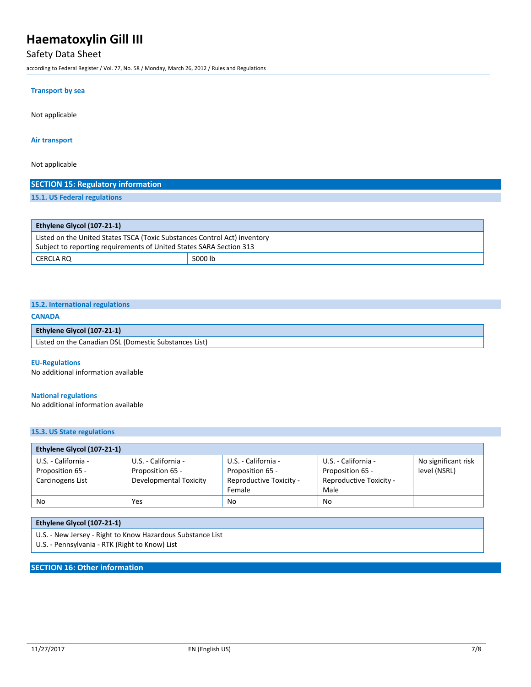### Safety Data Sheet

according to Federal Register / Vol. 77, No. 58 / Monday, March 26, 2012 / Rules and Regulations

#### **Transport by sea**

Not applicable

#### **Air transport**

Not applicable

#### **SECTION 15: Regulatory information**

**15.1. US Federal regulations**

| <b>Ethylene Glycol (107-21-1)</b>                                         |         |  |
|---------------------------------------------------------------------------|---------|--|
| Listed on the United States TSCA (Toxic Substances Control Act) inventory |         |  |
| Subject to reporting requirements of United States SARA Section 313       |         |  |
| CERCLA RO                                                                 | 5000 lb |  |

### **15.2. International regulations**

#### **CANADA**

| Ethylene Glycol (107-21-1)                            |  |
|-------------------------------------------------------|--|
| Listed on the Canadian DSL (Domestic Substances List) |  |

#### **EU-Regulations**

No additional information available

#### **National regulations**

No additional information available

#### **15.3. US State regulations**

| Ethylene Glycol (107-21-1) |                        |                                |                         |                     |
|----------------------------|------------------------|--------------------------------|-------------------------|---------------------|
| U.S. - California -        | U.S. - California -    | U.S. - California -            | U.S. - California -     | No significant risk |
| Proposition 65 -           | Proposition 65 -       | Proposition 65 -               | Proposition 65 -        | level (NSRL)        |
| Carcinogens List           | Developmental Toxicity | <b>Reproductive Toxicity -</b> | Reproductive Toxicity - |                     |
|                            |                        | Female                         | Male                    |                     |
| No                         | Yes                    | N <sub>0</sub>                 | No                      |                     |

#### **Ethylene Glycol (107-21-1)**

U.S. - New Jersey - Right to Know Hazardous Substance List

U.S. - Pennsylvania - RTK (Right to Know) List

### **SECTION 16: Other information**